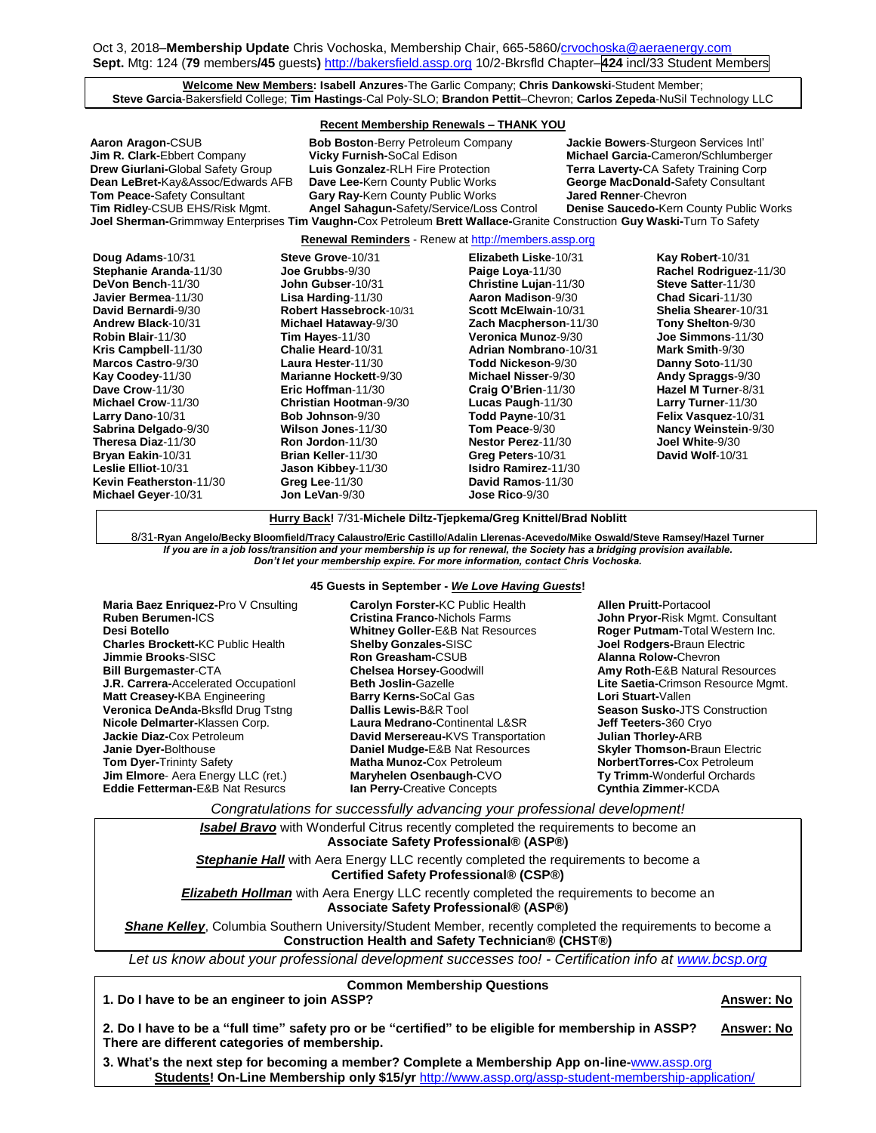## **Welcome New Members: Isabell Anzures**-The Garlic Company; **Chris Dankowski**-Student Member; **Steve Garcia**-Bakersfield College; **Tim Hastings**-Cal Poly-SLO; **Brandon Pettit**–Chevron; **Carlos Zepeda**-NuSil Technology LLC

### **Recent Membership Renewals – THANK YOU**

| Aaron Aragon-CSUB                         | <b>Bob Boston-Berry Petroleum Company</b>                                                                              | Jackie Bowers-Sturgeon Services Intl'        |
|-------------------------------------------|------------------------------------------------------------------------------------------------------------------------|----------------------------------------------|
| Jim R. Clark-Ebbert Company               | <b>Vicky Furnish-SoCal Edison</b>                                                                                      | Michael Garcia-Cameron/Schlumberger          |
| <b>Drew Giurlani-</b> Global Safety Group | Luis Gonzalez-RLH Fire Protection                                                                                      | <b>Terra Laverty-CA Safety Training Corp</b> |
| Dean LeBret-Kay&Assoc/Edwards AFB         | Dave Lee-Kern County Public Works                                                                                      | <b>George MacDonald-Safety Consultant</b>    |
| Tom Peace-Safety Consultant               | <b>Gary Ray-Kern County Public Works</b>                                                                               | <b>Jared Renner-Chevron</b>                  |
| <b>Tim Ridley-CSUB EHS/Risk Mgmt.</b>     | Angel Sahagun-Safety/Service/Loss Control                                                                              | Denise Saucedo-Kern County Public Works      |
|                                           | Joel Sherman-Grimmway Enterprises Tim Vaughn-Cox Petroleum Brett Wallace-Granite Construction Guy Waski-Turn To Safety |                                              |

**Renewal Reminders** - Renew a[t http://members.assp.org](http://members.assp.org/)

| Doug Adams-10/31        | Steve Grove-10/31             | <b>Elizabeth Liske-10/31</b> | Kay Robert-10/31          |
|-------------------------|-------------------------------|------------------------------|---------------------------|
| Stephanie Aranda-11/30  | <b>Joe Grubbs-</b> 9/30       | Paige Loya-11/30             | Rachel Rodriguez-11/30    |
| DeVon Bench-11/30       | <b>John Gubser-10/31</b>      | Christine Lujan-11/30        | Steve Satter-11/30        |
| Javier Bermea-11/30     | Lisa Harding-11/30            | Aaron Madison-9/30           | Chad Sicari-11/30         |
| David Bernardi-9/30     | Robert Hassebrock-10/31       | Scott McElwain-10/31         | Shelia Shearer-10/31      |
| Andrew Black-10/31      | Michael Hataway-9/30          | Zach Macpherson-11/30        | Tony Shelton-9/30         |
| Robin Blair-11/30       | Tim Hayes-11/30               | Veronica Munoz-9/30          | Joe Simmons-11/30         |
| Kris Campbell-11/30     | Chalie Heard-10/31            | <b>Adrian Nombrano-10/31</b> | Mark Smith-9/30           |
| Marcos Castro-9/30      | Laura Hester-11/30            | Todd Nickeson-9/30           | Danny Soto-11/30          |
| Kay Coodey-11/30        | Marianne Hockett-9/30         | Michael Nisser-9/30          | Andy Spraggs-9/30         |
| Dave Crow-11/30         | Eric Hoffman-11/30            | Craig O'Brien-11/30          | Hazel M Turner-8/31       |
| Michael Crow-11/30      | <b>Christian Hootman-9/30</b> | Lucas Paugh-11/30            | <b>Larry Turner-11/30</b> |
| Larry Dano-10/31        | Bob Johnson-9/30              | Todd Payne-10/31             | Felix Vasquez-10/31       |
| Sabrina Delgado-9/30    | Wilson Jones-11/30            | Tom Peace-9/30               | Nancy Weinstein-9/30      |
| Theresa Diaz-11/30      | Ron Jordon-11/30              | <b>Nestor Perez-11/30</b>    | Joel White-9/30           |
| Bryan Eakin-10/31       | Brian Keller-11/30            | Greg Peters-10/31            | David Wolf-10/31          |
| Leslie Elliot-10/31     | Jason Kibbey-11/30            | <b>Isidro Ramirez-11/30</b>  |                           |
| Kevin Featherston-11/30 | Greg Lee-11/30                | David Ramos-11/30            |                           |
| Michael Geyer-10/31     | Jon LeVan-9/30                | <b>Jose Rico-9/30</b>        |                           |

**Hurry Back!** 7/31-**Michele Diltz-Tjepkema/Greg Knittel/Brad Noblitt**

8/31-**Ryan Angelo/Becky Bloomfield/Tracy Calaustro/Eric Castillo/Adalin Llerenas-Acevedo/Mike Oswald/Steve Ramsey/Hazel Turner** *If you are in a job loss/transition and your membership is up for renewal, the Society has a bridging provision available. Don't let your membership expire. For more information, contact Chris Vochoska.* 

#### **----------------------------------------------------------------------------------------------------------------------------------------------------------------------- 45 Guests in September -** *We Love Having Guests***!**

| Maria Baez Enriquez-Pro V Cnsulting         |
|---------------------------------------------|
| Ruben Berumen-ICS                           |
| Desi Botello                                |
| <b>Charles Brockett-KC Public Health</b>    |
| Jimmie Brooks-SISC                          |
| <b>Bill Burgemaster-CTA</b>                 |
| <b>J.R. Carrera-Accelerated Occupationl</b> |
| Matt Creasey-KBA Engineering                |
| Veronica DeAnda-Bksfld Drug Tstng           |
| Nicole Delmarter-Klassen Corp.              |
| <b>Jackie Diaz-Cox Petroleum</b>            |
| Janie Dyer-Bolthouse                        |
| <b>Tom Dyer-Trininty Safety</b>             |
| Jim Elmore- Aera Energy LLC (ret.)          |
| Eddie Fetterman-E&B Nat Resurcs             |

**Carolyn Forster-**KC Public Health **Cristina Franco-**Nichols Farms **Whitney Goller-**E&B Nat Resources **Shelby Gonzales-**SISC **Ron Greasham-**CSUB **Chelsea Horsey-**Goodwill **Beth Joslin-**Gazelle **Barry Kerns-**SoCal Gas **Dallis Lewis-**B&R Tool **Laura Medrano-**Continental L&SR **David Mersereau-**KVS Transportation **Daniel Mudge-**E&B Nat Resources **Matha Munoz-**Cox Petroleum **Maryhelen Osenbaugh-**CVO **Ian Perry-**Creative Concepts

**Allen Pruitt-**Portacool **John Pryor-**Risk Mgmt. Consultant **Roger Putmam-**Total Western Inc. **Joel Rodgers-**Braun Electric **Alanna Rolow-**Chevron **Amy Roth-**E&B Natural Resources **Lite Saetia-**Crimson Resource Mgmt. **Lori Stuart-**Vallen **Season Susko-**JTS Construction **Jeff Teeters-**360 Cryo **Julian Thorley-**ARB **Skyler Thomson-**Braun Electric **NorbertTorres-**Cox Petroleum **Ty Trimm-**Wonderful Orchards **Cynthia Zimmer-**KCDA

*Congratulations for successfully advancing your professional development!*

*Isabel Bravo* with Wonderful Citrus recently completed the requirements to become an **Associate Safety Professional® (ASP®) Stephanie Hall** with Aera Energy LLC recently completed the requirements to become a **Certified Safety Professional® (CSP®) Elizabeth Hollman** with Aera Energy LLC recently completed the requirements to become an **Associate Safety Professional® (ASP®)**

**Shane Kelley**, Columbia Southern University/Student Member, recently completed the requirements to become a **Construction Health and Safety Technician® (CHST®)**

*Let us know about your professional development successes too! - Certification info at [www.bcsp.org](http://www.bcsp.org/)*

**Common Membership Questions**

# **1. Do I have to be an engineer to join ASSP? Answer: No**

**2. Do I have to be a "full time" safety pro or be "certified" to be eligible for membership in ASSP? Answer: No There are different categories of membership.** 

**3. What's the next step for becoming a member? Complete a Membership App on-line-**[www.assp.org](http://www.assp.org/) **Students! On-Line Membership only \$15/yr** <http://www.assp.org/assp-student-membership-application/>